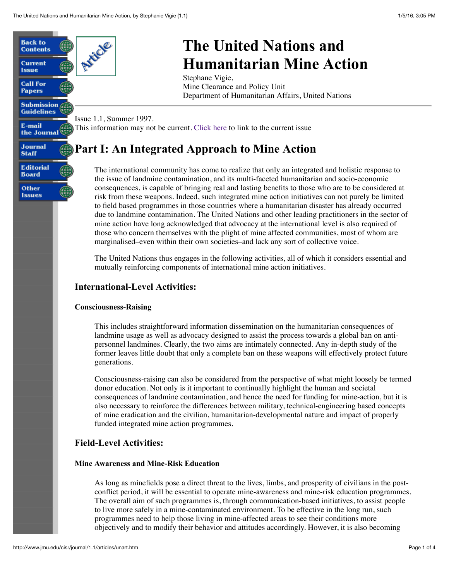

# **The United Nations and Humanitarian Mine Action**

Mine Clearance and Policy Unit Department of Humanitarian Affairs, United Nations

# **Part I: An Integrated Approach to Mine Action**

The international community has come to realize that only an integrated and holistic response to the issue of landmine contamination, and its multi-faceted humanitarian and socio-economic consequences, is capable of bringing real and lasting benefits to those who are to be considered at risk from these weapons. Indeed, such integrated mine action initiatives can not purely be limited to field based programmes in those countries where a humanitarian disaster has already occurred due to landmine contamination. The United Nations and other leading practitioners in the sector of mine action have long acknowledged that advocacy at the international level is also required of those who concern themselves with the plight of mine affected communities, most of whom are marginalised–even within their own societies–and lack any sort of collective voice.

The United Nations thus engages in the following activities, all of which it considers essential and mutually reinforcing components of international mine action initiatives.

This includes straightforward information dissemination on the humanitarian consequences of landmine usage as well as advocacy designed to assist the process towards a global ban on antipersonnel landmines. Clearly, the two aims are intimately connected. Any in-depth study of the former leaves little doubt that only a complete ban on these weapons will effectively protect future

Consciousness-raising can also be considered from the perspective of what might loosely be termed donor education. Not only is it important to continually highlight the human and societal consequences of landmine contamination, and hence the need for funding for mine-action, but it is also necessary to reinforce the differences between military, technical-engineering based concepts of mine eradication and the civilian, humanitarian-developmental nature and impact of properly

As long as minefields pose a direct threat to the lives, limbs, and prosperity of civilians in the postconflict period, it will be essential to operate mine-awareness and mine-risk education programmes. The overall aim of such programmes is, through communication-based initiatives, to assist people to live more safely in a mine-contaminated environment. To be effective in the long run, such programmes need to help those living in mine-affected areas to see their conditions more objectively and to modify their behavior and attitudes accordingly. However, it is also becoming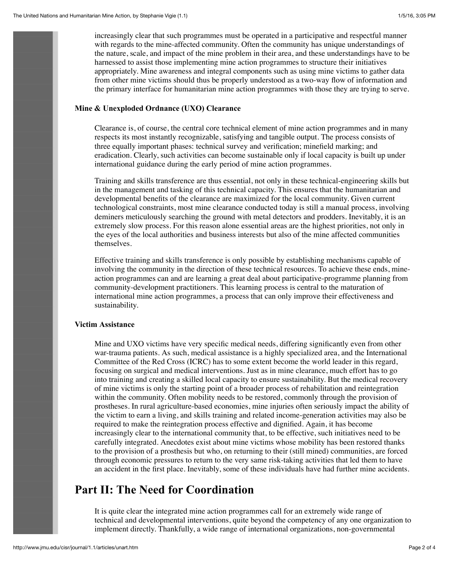increasingly clear that such programmes must be operated in a participative and respectful manner with regards to the mine-affected community. Often the community has unique understandings of the nature, scale, and impact of the mine problem in their area, and these understandings have to be harnessed to assist those implementing mine action programmes to structure their initiatives appropriately. Mine awareness and integral components such as using mine victims to gather data from other mine victims should thus be properly understood as a two-way flow of information and the primary interface for humanitarian mine action programmes with those they are trying to serve.

#### **Mine & Unexploded Ordnance (UXO) Clearance**

Clearance is, of course, the central core technical element of mine action programmes and in many respects its most instantly recognizable, satisfying and tangible output. The process consists of three equally important phases: technical survey and verification; minefield marking; and eradication. Clearly, such activities can become sustainable only if local capacity is built up under international guidance during the early period of mine action programmes.

Training and skills transference are thus essential, not only in these technical-engineering skills but in the management and tasking of this technical capacity. This ensures that the humanitarian and developmental benefits of the clearance are maximized for the local community. Given current technological constraints, most mine clearance conducted today is still a manual process, involving deminers meticulously searching the ground with metal detectors and prodders. Inevitably, it is an extremely slow process. For this reason alone essential areas are the highest priorities, not only in the eyes of the local authorities and business interests but also of the mine affected communities themselves.

Effective training and skills transference is only possible by establishing mechanisms capable of involving the community in the direction of these technical resources. To achieve these ends, mineaction programmes can and are learning a great deal about participative-programme planning from community-development practitioners. This learning process is central to the maturation of international mine action programmes, a process that can only improve their effectiveness and sustainability.

#### **Victim Assistance**

Mine and UXO victims have very specific medical needs, differing significantly even from other war-trauma patients. As such, medical assistance is a highly specialized area, and the International Committee of the Red Cross (ICRC) has to some extent become the world leader in this regard, focusing on surgical and medical interventions. Just as in mine clearance, much effort has to go into training and creating a skilled local capacity to ensure sustainability. But the medical recovery of mine victims is only the starting point of a broader process of rehabilitation and reintegration within the community. Often mobility needs to be restored, commonly through the provision of prostheses. In rural agriculture-based economies, mine injuries often seriously impact the ability of the victim to earn a living, and skills training and related income-generation activities may also be required to make the reintegration process effective and dignified. Again, it has become increasingly clear to the international community that, to be effective, such initiatives need to be carefully integrated. Anecdotes exist about mine victims whose mobility has been restored thanks to the provision of a prosthesis but who, on returning to their (still mined) communities, are forced through economic pressures to return to the very same risk-taking activities that led them to have an accident in the first place. Inevitably, some of these individuals have had further mine accidents.

### **Part II: The Need for Coordination**

It is quite clear the integrated mine action programmes call for an extremely wide range of technical and developmental interventions, quite beyond the competency of any one organization to implement directly. Thankfully, a wide range of international organizations, non-governmental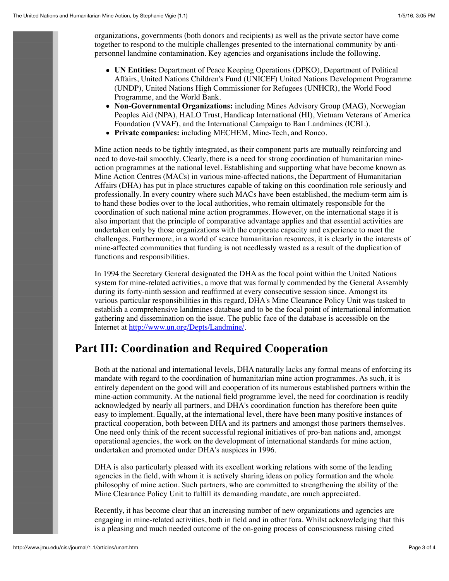organizations, governments (both donors and recipients) as well as the private sector have come together to respond to the multiple challenges presented to the international community by antipersonnel landmine contamination. Key agencies and organisations include the following.

- **UN Entities:** Department of Peace Keeping Operations (DPKO), Department of Political Affairs, United Nations Children's Fund (UNICEF) United Nations Development Programme (UNDP), United Nations High Commissioner for Refugees (UNHCR), the World Food Programme, and the World Bank.
- **Non-Governmental Organizations:** including Mines Advisory Group (MAG), Norwegian Peoples Aid (NPA), HALO Trust, Handicap International (HI), Vietnam Veterans of America Foundation (VVAF), and the International Campaign to Ban Landmines (ICBL).
- **Private companies:** including MECHEM, Mine-Tech, and Ronco.

Mine action needs to be tightly integrated, as their component parts are mutually reinforcing and need to dove-tail smoothly. Clearly, there is a need for strong coordination of humanitarian mineaction programmes at the national level. Establishing and supporting what have become known as Mine Action Centres (MACs) in various mine-affected nations, the Department of Humanitarian Affairs (DHA) has put in place structures capable of taking on this coordination role seriously and professionally. In every country where such MACs have been established, the medium-term aim is to hand these bodies over to the local authorities, who remain ultimately responsible for the coordination of such national mine action programmes. However, on the international stage it is also important that the principle of comparative advantage applies and that essential activities are undertaken only by those organizations with the corporate capacity and experience to meet the challenges. Furthermore, in a world of scarce humanitarian resources, it is clearly in the interests of mine-affected communities that funding is not needlessly wasted as a result of the duplication of functions and responsibilities.

In 1994 the Secretary General designated the DHA as the focal point within the United Nations system for mine-related activities, a move that was formally commended by the General Assembly during its forty-ninth session and reaffirmed at every consecutive session since. Amongst its various particular responsibilities in this regard, DHA's Mine Clearance Policy Unit was tasked to establish a comprehensive landmines database and to be the focal point of international information gathering and dissemination on the issue. The public face of the database is accessible on the Internet at <http://www.un.org/Depts/Landmine/>.

## **Part III: Coordination and Required Cooperation**

Both at the national and international levels, DHA naturally lacks any formal means of enforcing its mandate with regard to the coordination of humanitarian mine action programmes. As such, it is entirely dependent on the good will and cooperation of its numerous established partners within the mine-action community. At the national field programme level, the need for coordination is readily acknowledged by nearly all partners, and DHA's coordination function has therefore been quite easy to implement. Equally, at the international level, there have been many positive instances of practical cooperation, both between DHA and its partners and amongst those partners themselves. One need only think of the recent successful regional initiatives of pro-ban nations and, amongst operational agencies, the work on the development of international standards for mine action, undertaken and promoted under DHA's auspices in 1996.

DHA is also particularly pleased with its excellent working relations with some of the leading agencies in the field, with whom it is actively sharing ideas on policy formation and the whole philosophy of mine action. Such partners, who are committed to strengthening the ability of the Mine Clearance Policy Unit to fulfill its demanding mandate, are much appreciated.

Recently, it has become clear that an increasing number of new organizations and agencies are engaging in mine-related activities, both in field and in other fora. Whilst acknowledging that this is a pleasing and much needed outcome of the on-going process of consciousness raising cited